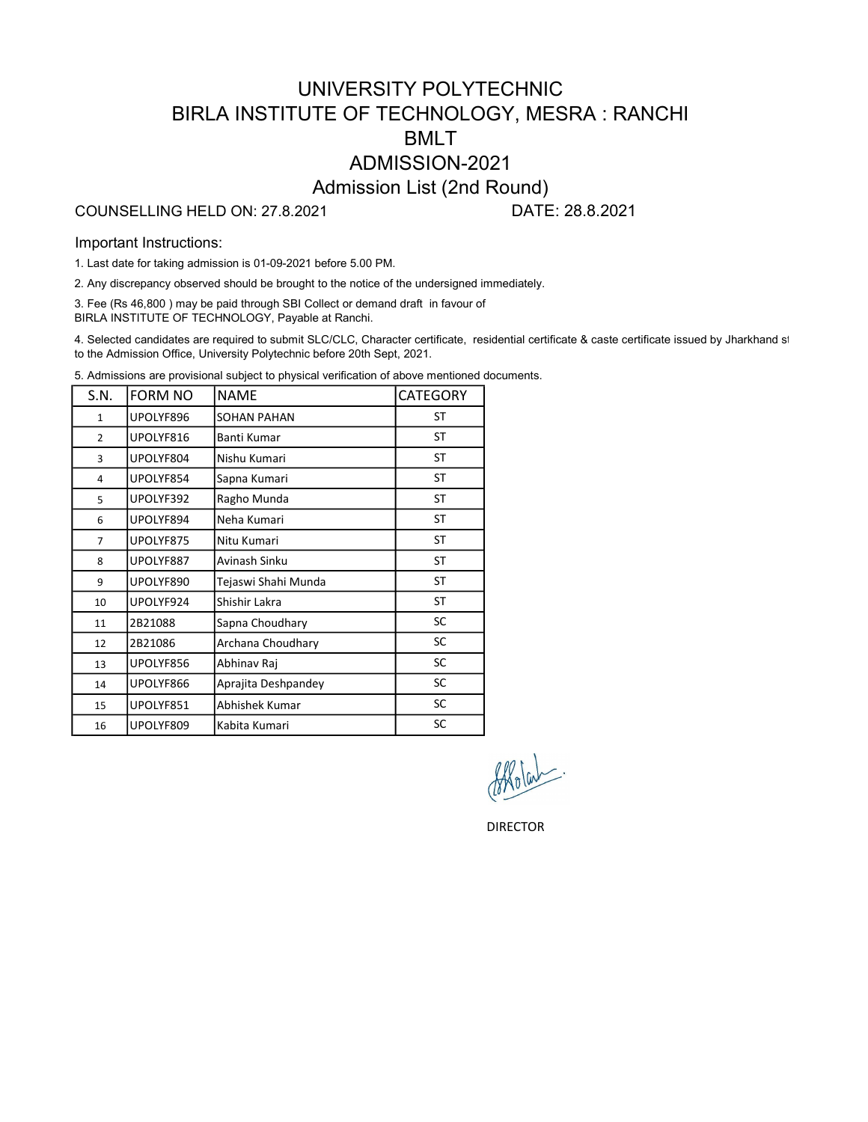# UNIVERSITY POLYTECHNIC BIRLA INSTITUTE OF TECHNOLOGY, MESRA : RANCHI BMLT ADMISSION-2021 Admission List (2nd Round)

### COUNSELLING HELD ON: 27.8.2021 DATE: 28.8.2021

#### Important Instructions:

1. Last date for taking admission is 01-09-2021 before 5.00 PM.

2. Any discrepancy observed should be brought to the notice of the undersigned immediately.

3. Fee (Rs 46,800 ) may be paid through SBI Collect or demand draft in favour of BIRLA INSTITUTE OF TECHNOLOGY, Payable at Ranchi.

4. Selected candidates are required to submit SLC/CLC, Character certificate, residential certificate & caste certificate issued by Jharkhand st to the Admission Office, University Polytechnic before 20th Sept, 2021.

5. Admissions are provisional subject to physical verification of above mentioned documents.

| S.N.           | FORM NO   | <b>NAME</b>         | <b>CATEGORY</b> |
|----------------|-----------|---------------------|-----------------|
| $\mathbf{1}$   | UPOLYF896 | <b>SOHAN PAHAN</b>  | ST              |
| $\overline{2}$ | UPOLYF816 | Banti Kumar         | <b>ST</b>       |
| 3              | UPOLYF804 | Nishu Kumari        | <b>ST</b>       |
| 4              | UPOLYF854 | Sapna Kumari        | ST              |
| 5              | UPOLYF392 | Ragho Munda         | ST              |
| 6              | UPOLYF894 | Neha Kumari         | ST              |
| $\overline{7}$ | UPOLYF875 | Nitu Kumari         | ST              |
| 8              | UPOLYF887 | Avinash Sinku       | <b>ST</b>       |
| 9              | UPOLYF890 | Tejaswi Shahi Munda | ST              |
| 10             | UPOLYF924 | Shishir Lakra       | ST              |
| 11             | 2B21088   | Sapna Choudhary     | SC              |
| 12             | 2B21086   | Archana Choudhary   | SC              |
| 13             | UPOLYF856 | Abhinav Raj         | SC              |
| 14             | UPOLYF866 | Aprajita Deshpandey | SC              |
| 15             | UPOLYF851 | Abhishek Kumar      | SC              |
| 16             | UPOLYF809 | Kabita Kumari       | <b>SC</b>       |

DIRECTOR